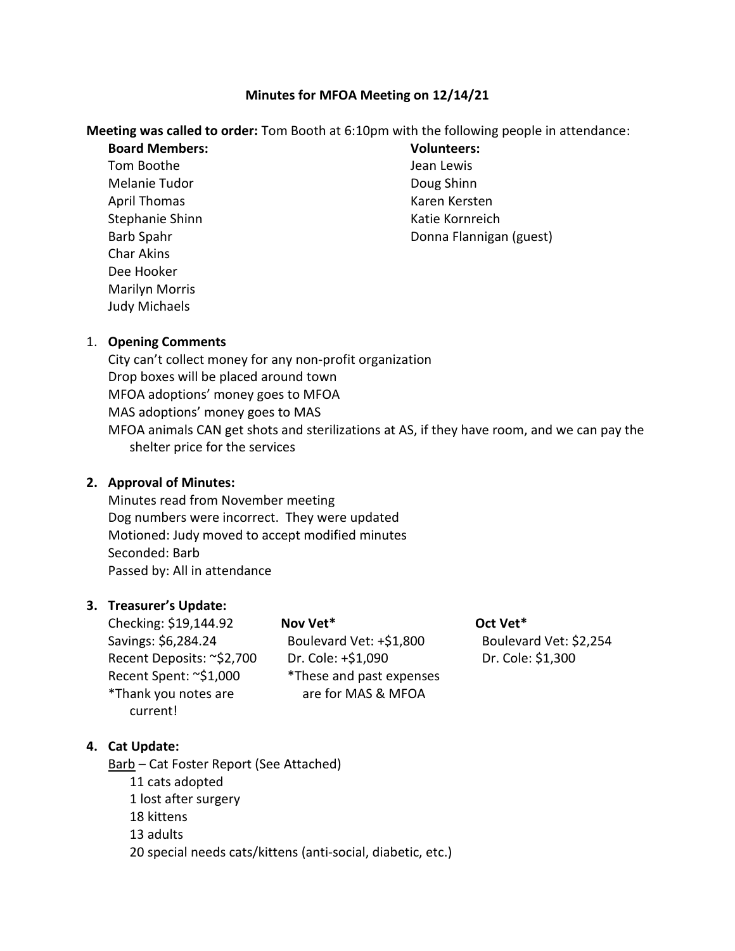## **Minutes for MFOA Meeting on 12/14/21**

#### **Meeting was called to order:** Tom Booth at 6:10pm with the following people in attendance:

**Board Members:**

Tom Boothe Melanie Tudor April Thomas Stephanie Shinn Barb Spahr Char Akins Dee Hooker Marilyn Morris Judy Michaels

**Volunteers:** Jean Lewis Doug Shinn Karen Kersten Katie Kornreich Donna Flannigan (guest)

### 1. **Opening Comments**

City can't collect money for any non-profit organization Drop boxes will be placed around town MFOA adoptions' money goes to MFOA MAS adoptions' money goes to MAS MFOA animals CAN get shots and sterilizations at AS, if they have room, and we can pay the shelter price for the services

### **2. Approval of Minutes:**

Minutes read from November meeting Dog numbers were incorrect. They were updated Motioned: Judy moved to accept modified minutes Seconded: Barb Passed by: All in attendance

### **3. Treasurer's Update:**

Checking: \$19,144.92 Savings: \$6,284.24 Recent Deposits: ~\$2,700 Recent Spent: ~\$1,000 \*Thank you notes are current!

**Nov Vet\*** Boulevard Vet: +\$1,800 Dr. Cole: +\$1,090 \*These and past expenses are for MAS & MFOA

**Oct Vet\*** Boulevard Vet: \$2,254 Dr. Cole: \$1,300

### **4. Cat Update:**

Barb – Cat Foster Report (See Attached) 11 cats adopted 1 lost after surgery 18 kittens 13 adults 20 special needs cats/kittens (anti-social, diabetic, etc.)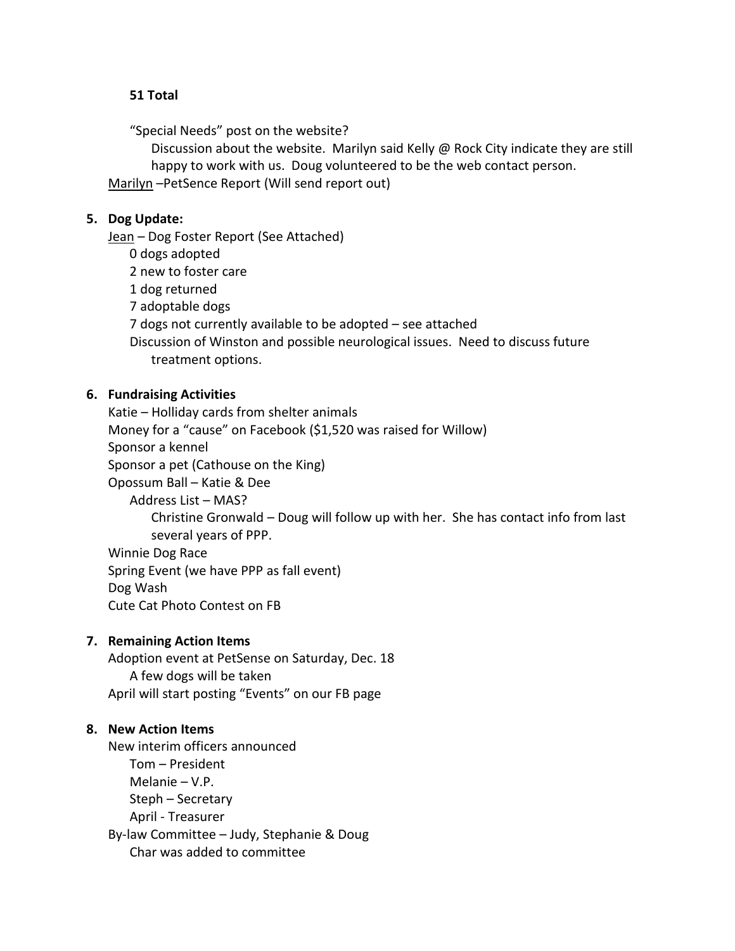### **51 Total**

"Special Needs" post on the website?

Discussion about the website. Marilyn said Kelly  $\omega$  Rock City indicate they are still happy to work with us. Doug volunteered to be the web contact person.

Marilyn –PetSence Report (Will send report out)

## **5. Dog Update:**

Jean - Dog Foster Report (See Attached)

0 dogs adopted

2 new to foster care

1 dog returned

7 adoptable dogs

7 dogs not currently available to be adopted – see attached

Discussion of Winston and possible neurological issues. Need to discuss future treatment options.

# **6. Fundraising Activities**

Katie – Holliday cards from shelter animals Money for a "cause" on Facebook (\$1,520 was raised for Willow) Sponsor a kennel Sponsor a pet (Cathouse on the King) Opossum Ball – Katie & Dee

Address List – MAS?

Christine Gronwald – Doug will follow up with her. She has contact info from last several years of PPP.

Winnie Dog Race Spring Event (we have PPP as fall event) Dog Wash Cute Cat Photo Contest on FB

# **7. Remaining Action Items**

Adoption event at PetSense on Saturday, Dec. 18 A few dogs will be taken April will start posting "Events" on our FB page

### **8. New Action Items**

New interim officers announced Tom – President Melanie – V.P. Steph – Secretary April - Treasurer By-law Committee – Judy, Stephanie & Doug Char was added to committee